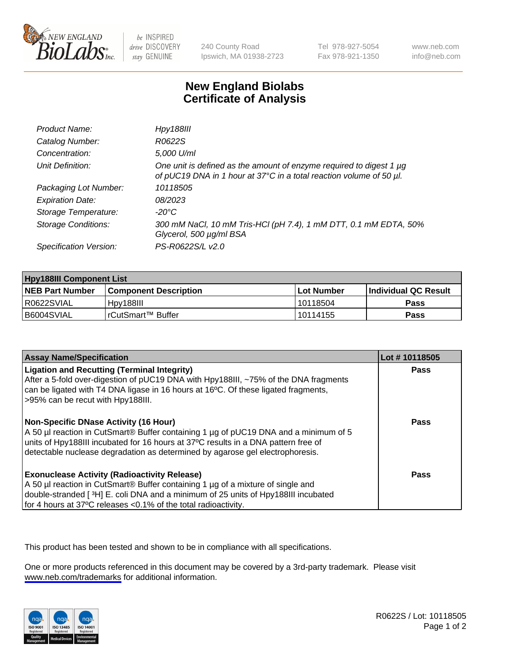

be INSPIRED drive DISCOVERY stay GENUINE

240 County Road Ipswich, MA 01938-2723 Tel 978-927-5054 Fax 978-921-1350

www.neb.com info@neb.com

## **New England Biolabs Certificate of Analysis**

| Product Name:              | <b>Hpy188III</b>                                                                                                                           |
|----------------------------|--------------------------------------------------------------------------------------------------------------------------------------------|
| Catalog Number:            | R0622S                                                                                                                                     |
| Concentration:             | 5,000 U/ml                                                                                                                                 |
| Unit Definition:           | One unit is defined as the amount of enzyme required to digest 1 µg<br>of pUC19 DNA in 1 hour at 37°C in a total reaction volume of 50 µl. |
| Packaging Lot Number:      | 10118505                                                                                                                                   |
| <b>Expiration Date:</b>    | 08/2023                                                                                                                                    |
| Storage Temperature:       | -20°C                                                                                                                                      |
| <b>Storage Conditions:</b> | 300 mM NaCl, 10 mM Tris-HCl (pH 7.4), 1 mM DTT, 0.1 mM EDTA, 50%<br>Glycerol, 500 µg/ml BSA                                                |
| Specification Version:     | PS-R0622S/L v2.0                                                                                                                           |

| <b>Hpy188III Component List</b> |                         |              |                             |  |
|---------------------------------|-------------------------|--------------|-----------------------------|--|
| <b>NEB Part Number</b>          | l Component Description | l Lot Number | <b>Individual QC Result</b> |  |
| I R0622SVIAL                    | Hpv188III               | l 10118504   | Pass                        |  |
| B6004SVIAL                      | I rCutSmart™ Buffer_    | 10114155     | Pass                        |  |

| <b>Assay Name/Specification</b>                                                                                                                                                                                                                                                                      | Lot #10118505 |
|------------------------------------------------------------------------------------------------------------------------------------------------------------------------------------------------------------------------------------------------------------------------------------------------------|---------------|
| <b>Ligation and Recutting (Terminal Integrity)</b><br>After a 5-fold over-digestion of pUC19 DNA with Hpy188III, ~75% of the DNA fragments<br>can be ligated with T4 DNA ligase in 16 hours at 16 <sup>o</sup> C. Of these ligated fragments,<br>>95% can be recut with Hpy188III.                   | Pass          |
| Non-Specific DNase Activity (16 Hour)<br>A 50 µl reaction in CutSmart® Buffer containing 1 µg of pUC19 DNA and a minimum of 5<br>units of Hpy188III incubated for 16 hours at 37°C results in a DNA pattern free of<br>detectable nuclease degradation as determined by agarose gel electrophoresis. | Pass          |
| <b>Exonuclease Activity (Radioactivity Release)</b><br>A 50 µl reaction in CutSmart® Buffer containing 1 µg of a mixture of single and<br>double-stranded [3H] E. coli DNA and a minimum of 25 units of Hpy188III incubated<br>for 4 hours at 37°C releases <0.1% of the total radioactivity.        | Pass          |

This product has been tested and shown to be in compliance with all specifications.

One or more products referenced in this document may be covered by a 3rd-party trademark. Please visit <www.neb.com/trademarks>for additional information.